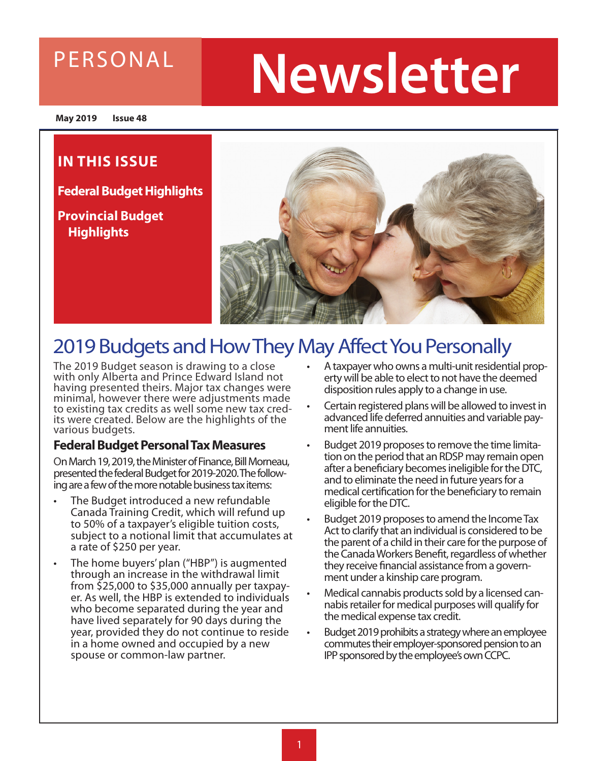### PERSONAL

# **Newsletter**

**May 2019 Issue 48**

### **IN THIS ISSUE**

**Federal Budget Highlights**

**Provincial Budget Highlights** 



### 2019 Budgets and How They May Affect You Personally

The 2019 Budget season is drawing to a close with only Alberta and Prince Edward Island not having presented theirs. Major tax changes were minimal, however there were adjustments made to existing tax credits as well some new tax cred- its were created. Below are the highlights of the various budgets.

#### **Federal Budget Personal Tax Measures**

On March 19, 2019, the Minister of Finance, Bill Morneau, presented the federal Budget for 2019-2020. The following are a few of the more notable business tax items:

- The Budget introduced a new refundable Canada Training Credit, which will refund up to 50% of a taxpayer's eligible tuition costs, subject to a notional limit that accumulates at a rate of \$250 per year.
- The home buyers' plan ("HBP") is augmented through an increase in the withdrawal limit from \$25,000 to \$35,000 annually per taxpayer. As well, the HBP is extended to individuals who become separated during the year and have lived separately for 90 days during the year, provided they do not continue to reside in a home owned and occupied by a new spouse or common-law partner.
- A taxpayer who owns a multi-unit residential property will be able to elect to not have the deemed disposition rules apply to a change in use.
- Certain registered plans will be allowed to invest in advanced life deferred annuities and variable payment life annuities.
- Budget 2019 proposes to remove the time limitation on the period that an RDSP may remain open after a beneficiary becomes ineligible for the DTC, and to eliminate the need in future years for a medical certification for the beneficiary to remain eligible for the DTC.
- Budget 2019 proposes to amend the Income Tax Act to clarify that an individual is considered to be the parent of a child in their care for the purpose of the Canada Workers Benefit, regardless of whether they receive financial assistance from a government under a kinship care program.
- Medical cannabis products sold by a licensed cannabis retailer for medical purposes will qualify for the medical expense tax credit.
- Budget 2019 prohibits a strategy where an employee commutes their employer-sponsored pension to an IPP sponsored by the employee's own CCPC.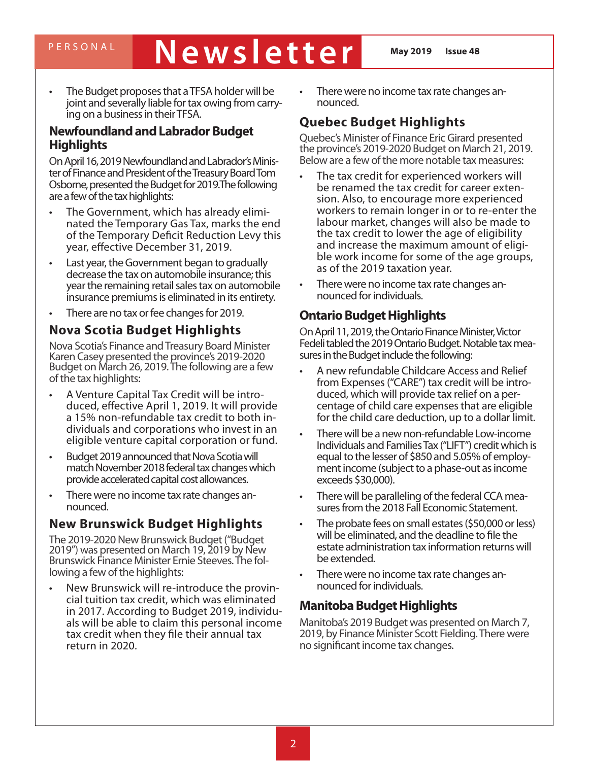## PERSONAL **Newsletter May 2019 Issue 48**

The Budget proposes that a TFSA holder will be joint and severally liable for tax owing from carrying on a business in their TFSA.

#### **Newfoundland and Labrador Budget Highlights**

On April 16, 2019 Newfoundland and Labrador's Minister of Finance and President of the Treasury Board Tom Osborne, presented the Budget for 2019.The following are a few of the tax highlights:

- The Government, which has already eliminated the Temporary Gas Tax, marks the end of the Temporary Deficit Reduction Levy this year, effective December 31, 2019.
- Last year, the Government began to gradually decrease the tax on automobile insurance; this year the remaining retail sales tax on automobile insurance premiums is eliminated in its entirety.
- There are no tax or fee changes for 2019.

#### **Nova Scotia Budget Highlights**

Nova Scotia's Finance and Treasury Board Minister Karen Casey presented the province's 2019-2020 Budget on March 26, 2019. The following are a few of the tax highlights:

- A Venture Capital Tax Credit will be introduced, effective April 1, 2019. It will provide a 15% non-refundable tax credit to both individuals and corporations who invest in an eligible venture capital corporation or fund.
- Budget 2019 announced that Nova Scotia will match November 2018 federal tax changes which provide accelerated capital cost allowances.
- There were no income tax rate changes announced.

#### **New Brunswick Budget Highlights**

The 2019-2020 New Brunswick Budget ("Budget 2019") was presented on March 19, 2019 by New Brunswick Finance Minister Ernie Steeves. The following a few of the highlights:

New Brunswick will re-introduce the provin-<br>cial tuition tax credit, which was eliminated in 2017. According to Budget 2019, individuals will be able to claim this personal income tax credit when they file their annual tax return in 2020.

There were no income tax rate changes announced.

### **Quebec Budget Highlights**

Quebec's Minister of Finance Eric Girard presented the province's 2019-2020 Budget on March 21, 2019. Below are a few of the more notable tax measures:

- The tax credit for experienced workers will be renamed the tax credit for career extension. Also, to encourage more experienced workers to remain longer in or to re-enter the labour market, changes will also be made to the tax credit to lower the age of eligibility and increase the maximum amount of eligible work income for some of the age groups, as of the 2019 taxation year.
- There were no income tax rate changes announced for individuals.

#### **Ontario Budget Highlights**

On April 11, 2019, the Ontario Finance Minister, Victor Fedeli tabled the 2019 Ontario Budget. Notable tax measures in the Budget include the following:

- A new refundable Childcare Access and Relief from Expenses ("CARE") tax credit will be introduced, which will provide tax relief on a percentage of child care expenses that are eligible for the child care deduction, up to a dollar limit.
- There will be a new non-refundable Low-income Individuals and Families Tax ("LIFT") credit which is equal to the lesser of \$850 and 5.05% of employment income (subject to a phase-out as income exceeds \$30,000).
- There will be paralleling of the federal CCA measures from the 2018 Fall Economic Statement.
- The probate fees on small estates (\$50,000 or less) will be eliminated, and the deadline to file the estate administration tax information returns will be extended.
- There were no income tax rate changes announced for individuals.

#### **Manitoba Budget Highlights**

Manitoba's 2019 Budget was presented on March 7, 2019, by Finance Minister Scott Fielding. There were no significant income tax changes.